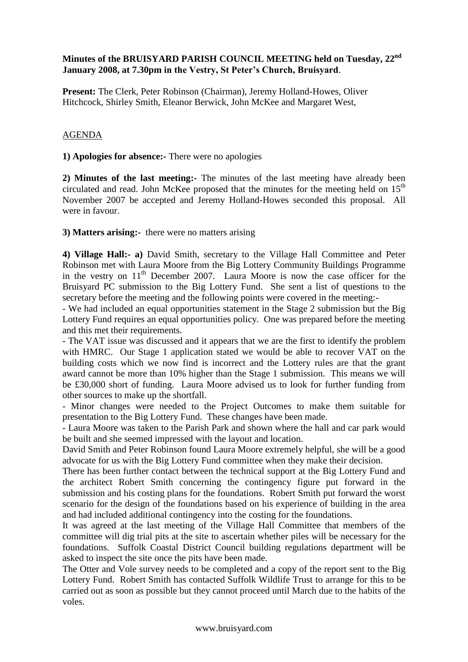## **Minutes of the BRUISYARD PARISH COUNCIL MEETING held on Tuesday, 22nd January 2008, at 7.30pm in the Vestry, St Peter's Church, Bruisyard**.

**Present:** The Clerk, Peter Robinson (Chairman), Jeremy Holland-Howes, Oliver Hitchcock, Shirley Smith, Eleanor Berwick, John McKee and Margaret West,

## AGENDA

**1) Apologies for absence:-** There were no apologies

**2) Minutes of the last meeting:-** The minutes of the last meeting have already been circulated and read. John McKee proposed that the minutes for the meeting held on  $15<sup>th</sup>$ November 2007 be accepted and Jeremy Holland-Howes seconded this proposal. All were in favour.

**3) Matters arising:-** there were no matters arising

**4) Village Hall:- a)** David Smith, secretary to the Village Hall Committee and Peter Robinson met with Laura Moore from the Big Lottery Community Buildings Programme in the vestry on 11<sup>th</sup> December 2007. Laura Moore is now the case officer for the Bruisyard PC submission to the Big Lottery Fund. She sent a list of questions to the secretary before the meeting and the following points were covered in the meeting:-

- We had included an equal opportunities statement in the Stage 2 submission but the Big Lottery Fund requires an equal opportunities policy. One was prepared before the meeting and this met their requirements.

- The VAT issue was discussed and it appears that we are the first to identify the problem with HMRC. Our Stage 1 application stated we would be able to recover VAT on the building costs which we now find is incorrect and the Lottery rules are that the grant award cannot be more than 10% higher than the Stage 1 submission. This means we will be £30,000 short of funding. Laura Moore advised us to look for further funding from other sources to make up the shortfall.

- Minor changes were needed to the Project Outcomes to make them suitable for presentation to the Big Lottery Fund. These changes have been made.

- Laura Moore was taken to the Parish Park and shown where the hall and car park would be built and she seemed impressed with the layout and location.

David Smith and Peter Robinson found Laura Moore extremely helpful, she will be a good advocate for us with the Big Lottery Fund committee when they make their decision.

There has been further contact between the technical support at the Big Lottery Fund and the architect Robert Smith concerning the contingency figure put forward in the submission and his costing plans for the foundations. Robert Smith put forward the worst scenario for the design of the foundations based on his experience of building in the area and had included additional contingency into the costing for the foundations.

It was agreed at the last meeting of the Village Hall Committee that members of the committee will dig trial pits at the site to ascertain whether piles will be necessary for the foundations. Suffolk Coastal District Council building regulations department will be asked to inspect the site once the pits have been made.

The Otter and Vole survey needs to be completed and a copy of the report sent to the Big Lottery Fund. Robert Smith has contacted Suffolk Wildlife Trust to arrange for this to be carried out as soon as possible but they cannot proceed until March due to the habits of the voles.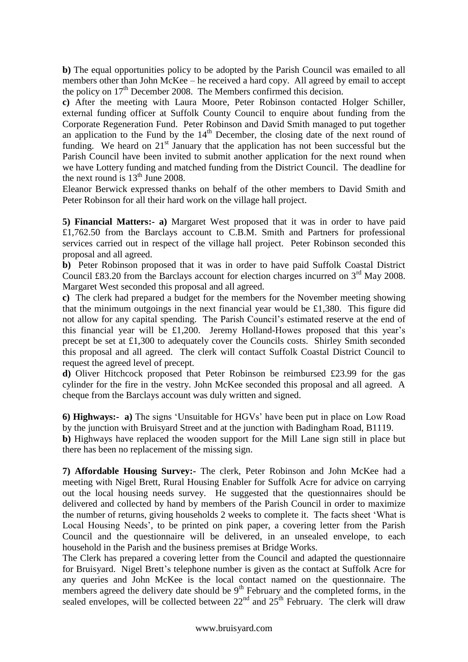**b)** The equal opportunities policy to be adopted by the Parish Council was emailed to all members other than John McKee – he received a hard copy. All agreed by email to accept the policy on  $17<sup>th</sup>$  December 2008. The Members confirmed this decision.

**c)** After the meeting with Laura Moore, Peter Robinson contacted Holger Schiller, external funding officer at Suffolk County Council to enquire about funding from the Corporate Regeneration Fund. Peter Robinson and David Smith managed to put together an application to the Fund by the  $14<sup>th</sup>$  December, the closing date of the next round of funding. We heard on  $21<sup>st</sup>$  January that the application has not been successful but the Parish Council have been invited to submit another application for the next round when we have Lottery funding and matched funding from the District Council. The deadline for the next round is  $13<sup>th</sup>$  June 2008.

Eleanor Berwick expressed thanks on behalf of the other members to David Smith and Peter Robinson for all their hard work on the village hall project.

**5) Financial Matters:- a)** Margaret West proposed that it was in order to have paid £1,762.50 from the Barclays account to C.B.M. Smith and Partners for professional services carried out in respect of the village hall project. Peter Robinson seconded this proposal and all agreed.

**b)** Peter Robinson proposed that it was in order to have paid Suffolk Coastal District Council £83.20 from the Barclays account for election charges incurred on  $3<sup>rd</sup>$  May 2008. Margaret West seconded this proposal and all agreed.

**c)** The clerk had prepared a budget for the members for the November meeting showing that the minimum outgoings in the next financial year would be £1,380. This figure did not allow for any capital spending. The Parish Council's estimated reserve at the end of this financial year will be £1,200. Jeremy Holland-Howes proposed that this year's precept be set at £1,300 to adequately cover the Councils costs. Shirley Smith seconded this proposal and all agreed. The clerk will contact Suffolk Coastal District Council to request the agreed level of precept.

**d)** Oliver Hitchcock proposed that Peter Robinson be reimbursed £23.99 for the gas cylinder for the fire in the vestry. John McKee seconded this proposal and all agreed. A cheque from the Barclays account was duly written and signed.

**6) Highways:- a)** The signs 'Unsuitable for HGVs' have been put in place on Low Road by the junction with Bruisyard Street and at the junction with Badingham Road, B1119.

**b)** Highways have replaced the wooden support for the Mill Lane sign still in place but there has been no replacement of the missing sign.

**7) Affordable Housing Survey:-** The clerk, Peter Robinson and John McKee had a meeting with Nigel Brett, Rural Housing Enabler for Suffolk Acre for advice on carrying out the local housing needs survey. He suggested that the questionnaires should be delivered and collected by hand by members of the Parish Council in order to maximize the number of returns, giving households 2 weeks to complete it. The facts sheet 'What is Local Housing Needs', to be printed on pink paper, a covering letter from the Parish Council and the questionnaire will be delivered, in an unsealed envelope, to each household in the Parish and the business premises at Bridge Works.

The Clerk has prepared a covering letter from the Council and adapted the questionnaire for Bruisyard. Nigel Brett's telephone number is given as the contact at Suffolk Acre for any queries and John McKee is the local contact named on the questionnaire. The members agreed the delivery date should be  $9<sup>th</sup>$  February and the completed forms, in the sealed envelopes, will be collected between  $22<sup>nd</sup>$  and  $25<sup>th</sup>$  February. The clerk will draw